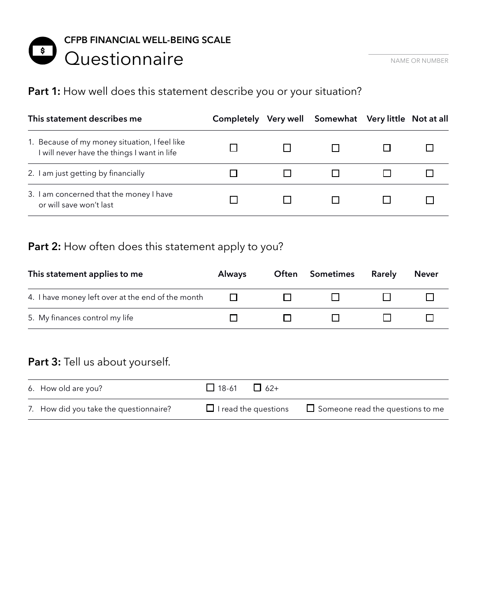### **CFPB FINANCIAL WELL-BEING SCALE**  $\frac{1}{2}$ Questionnaire **NAME OR NAME OR NUMBER**

## Part 1: How well does this statement describe you or your situation?

| This statement describes me                                                                  |  | Completely Very well Somewhat Very little Not at all |  |
|----------------------------------------------------------------------------------------------|--|------------------------------------------------------|--|
| 1. Because of my money situation, I feel like<br>I will never have the things I want in life |  |                                                      |  |
| 2. I am just getting by financially                                                          |  |                                                      |  |
| 3. I am concerned that the money I have<br>or will save won't last                           |  |                                                      |  |

## Part 2: How often does this statement apply to you?

| This statement applies to me                      | <b>Always</b> | <b>Often Sometimes</b> | <b>Rarely</b> | <b>Never</b> |
|---------------------------------------------------|---------------|------------------------|---------------|--------------|
| 4. I have money left over at the end of the month |               |                        |               |              |
| 5. My finances control my life                    |               |                        |               |              |

## Part 3: Tell us about yourself.

| 6. How old are you?                    | $\Box$ 18-61 $\Box$ 62+     |                                         |
|----------------------------------------|-----------------------------|-----------------------------------------|
| 7. How did you take the questionnaire? | $\Box$ I read the questions | $\Box$ Someone read the questions to me |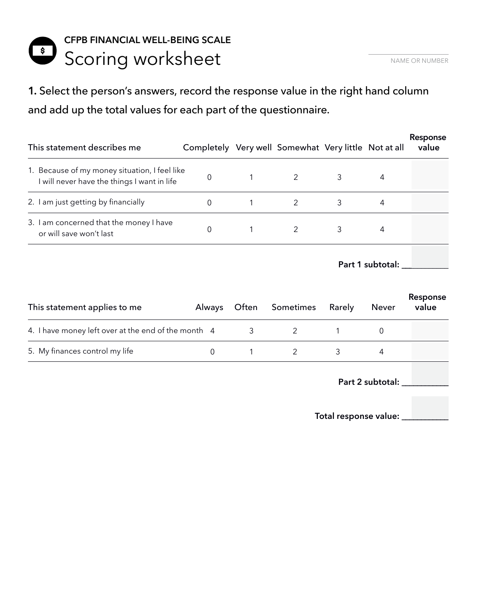# **CFPB FINANCIAL WELL-BEING SCALE**  Scoring worksheet **Scoring Worksheet**

**1.** Select the person's answers, record the response value in the right hand column and add up the total values for each part of the questionnaire.

| This statement describes me                                                                  | Completely Very well Somewhat Very little Not at all |                |   |   | Response<br>value |
|----------------------------------------------------------------------------------------------|------------------------------------------------------|----------------|---|---|-------------------|
| 1. Because of my money situation, I feel like<br>I will never have the things I want in life | 0                                                    | $\overline{2}$ | 3 | 4 |                   |
| 2. I am just getting by financially                                                          |                                                      |                | 3 | 4 |                   |
| 3. I am concerned that the money I have<br>or will save won't last                           |                                                      | $\overline{2}$ | 3 | 4 |                   |
|                                                                                              |                                                      |                |   |   |                   |

**Part 1 subtotal: \_\_\_\_\_\_\_\_\_\_\_\_**

| This statement applies to me                        | Always |   | Often Sometimes | Rarely | Never | Response<br>value |
|-----------------------------------------------------|--------|---|-----------------|--------|-------|-------------------|
| 4. I have money left over at the end of the month 4 |        | 3 |                 |        |       |                   |
| 5. My finances control my life                      |        |   |                 |        |       |                   |

**Part 2 subtotal: \_\_\_\_\_\_\_\_\_\_\_\_**

**Total response value: \_\_\_\_\_\_\_\_\_\_\_\_**